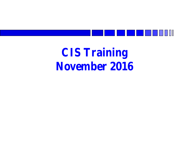

### **CIS Training November 2016**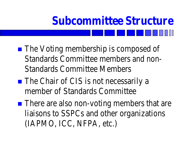## **Subcommittee Structure**

- **The Voting membership is composed of** Standards Committee members and non-Standards Committee Members
- The Chair of CIS is not necessarily a member of Standards Committee
- There are also non-voting members that are liaisons to SSPCs and other organizations (IAPMO, ICC, NFPA, etc.)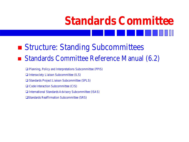## **Standards Committee**

#### ■ Structure: Standing Subcommittees

#### Standards Committee Reference Manual (6.2)

Planning, Policy and Interpretations Subcommittee (PPIS)

- $\Box$  Intersociety Liaison Subcommittee (ILS)
- □ Standards Project Liaison Subcommittee (SPLS)
- $\Box$  Code Interaction Subcommittee (CIS)
- International Standards Advisory Subcommittee (ISAS)
- Standards Reaffirmation Subcommittee (SRS)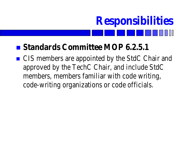## **Responsibilities**

#### ■ Standards Committee MOP 6.2.5.1

■ CIS members are appointed by the StdC Chair and approved by the TechC Chair, and include StdC members, members familiar with code writing, code-writing organizations or code officials.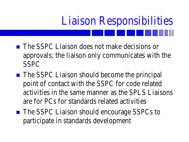# Liaison Responsibilities

- **The SSPC Liaison does not make decisions or** approvals; the liaison only communicates with the SSPC
- The SSPC Liaison should become the principal point of contact with the SSPC for code related activities in the same manner as the SPLS Liaisons are for PCs for standards related activities
- The SSPC Liaison should encourage SSPCs to participate in standards development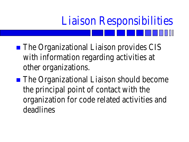# Liaison Responsibilities

■ The Organizational Liaison provides CIS with information regarding activities at other organizations.

■ The Organizational Liaison should become the principal point of contact with the organization for code related activities and deadlines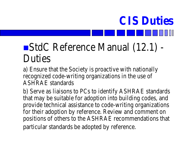### StdC Reference Manual (12.1) - Duties

**CIS Duties**

a) Ensure that the Society is proactive with nationally recognized code-writing organizations in the use of ASHRAE standards

b) Serve as liaisons to PCs to identify ASHRAE standards that may be suitable for adoption into building codes, and provide technical assistance to code-writing organizations for their adoption by reference. Review and comment on positions of others to the ASHRAE recommendations that particular standards be adopted by reference.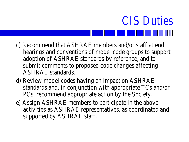#### c) Recommend that ASHRAE members and/or staff attend hearings and conventions of model code groups to support adoption of ASHRAE standards by reference, and to submit comments to proposed code changes affecting ASHRAE standards.

CIS Duties

- d) Review model codes having an impact on ASHRAE standards and, in conjunction with appropriate TCs and/or PCs, recommend appropriate action by the Society.
- e) Assign ASHRAE members to participate in the above activities as ASHRAE representatives, as coordinated and supported by ASHRAE staff.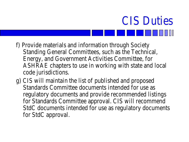#### f) Provide materials and information through Society Standing General Committees, such as the Technical, Energy, and Government Activities Committee, for ASHRAE chapters to use in working with state and local code jurisdictions.

CIS Duties

g) CIS will maintain the list of published and proposed Standards Committee documents intended for use as regulatory documents and provide recommended listings for Standards Committee approval. CIS will recommend StdC documents intended for use as regulatory documents for StdC approval.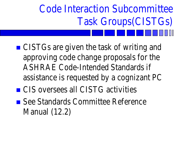## Code Interaction Subcommittee Task Groups(CISTGs)

- CISTGs are given the task of writing and approving code change proposals for the ASHRAE Code-Intended Standards if assistance is requested by a cognizant PC ■ CIS oversees all CISTG activities
- See Standards Committee Reference Manual (12.2)